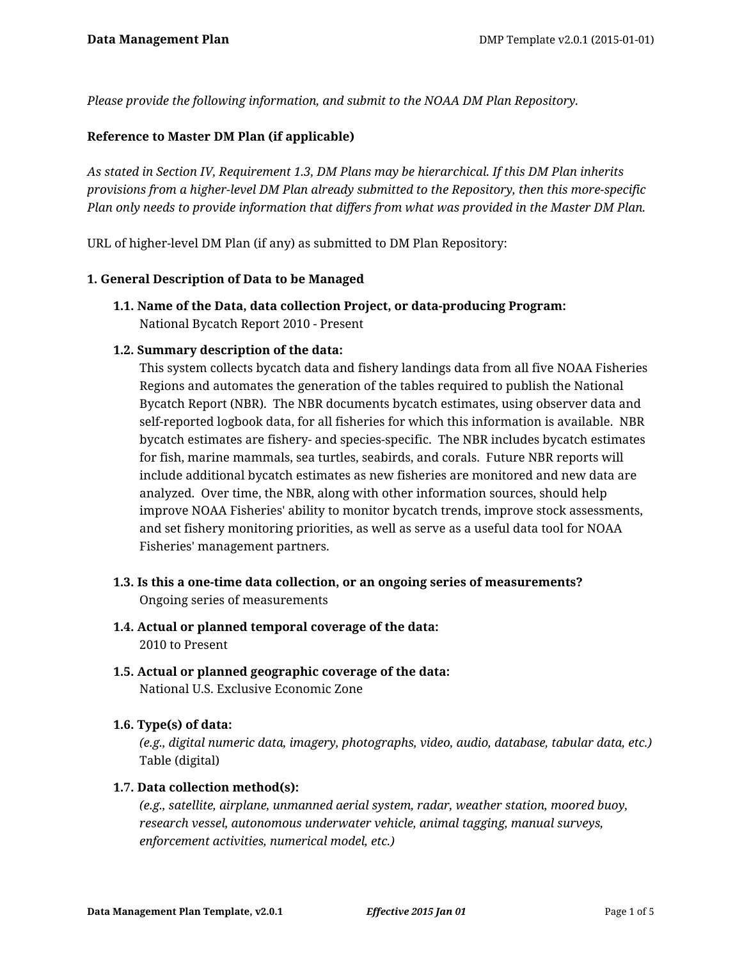*Please provide the following information, and submit to the NOAA DM Plan Repository.*

# **Reference to Master DM Plan (if applicable)**

*As stated in Section IV, Requirement 1.3, DM Plans may be hierarchical. If this DM Plan inherits provisions from a higher-level DM Plan already submitted to the Repository, then this more-specific Plan only needs to provide information that differs from what was provided in the Master DM Plan.*

URL of higher-level DM Plan (if any) as submitted to DM Plan Repository:

#### **1. General Description of Data to be Managed**

**1.1. Name of the Data, data collection Project, or data-producing Program:** National Bycatch Report 2010 - Present

#### **1.2. Summary description of the data:**

This system collects bycatch data and fishery landings data from all five NOAA Fisheries Regions and automates the generation of the tables required to publish the National Bycatch Report (NBR). The NBR documents bycatch estimates, using observer data and self-reported logbook data, for all fisheries for which this information is available. NBR bycatch estimates are fishery- and species-specific. The NBR includes bycatch estimates for fish, marine mammals, sea turtles, seabirds, and corals. Future NBR reports will include additional bycatch estimates as new fisheries are monitored and new data are analyzed. Over time, the NBR, along with other information sources, should help improve NOAA Fisheries' ability to monitor bycatch trends, improve stock assessments, and set fishery monitoring priorities, as well as serve as a useful data tool for NOAA Fisheries' management partners.

- **1.3. Is this a one-time data collection, or an ongoing series of measurements?** Ongoing series of measurements
- **1.4. Actual or planned temporal coverage of the data:** 2010 to Present
- **1.5. Actual or planned geographic coverage of the data:** National U.S. Exclusive Economic Zone

# **1.6. Type(s) of data:**

*(e.g., digital numeric data, imagery, photographs, video, audio, database, tabular data, etc.)* Table (digital)

#### **1.7. Data collection method(s):**

*(e.g., satellite, airplane, unmanned aerial system, radar, weather station, moored buoy, research vessel, autonomous underwater vehicle, animal tagging, manual surveys, enforcement activities, numerical model, etc.)*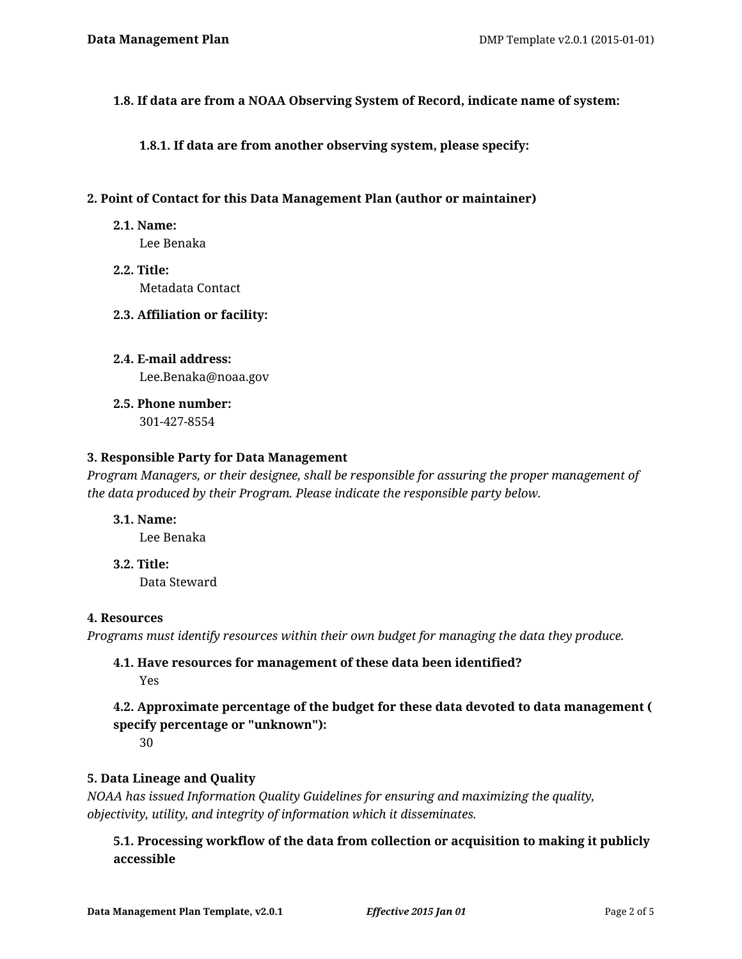#### **1.8. If data are from a NOAA Observing System of Record, indicate name of system:**

**1.8.1. If data are from another observing system, please specify:**

#### **2. Point of Contact for this Data Management Plan (author or maintainer)**

#### **2.1. Name:**

Lee Benaka

**2.2. Title:** Metadata Contact

#### **2.3. Affiliation or facility:**

- **2.4. E-mail address:** Lee.Benaka@noaa.gov
- **2.5. Phone number:** 301-427-8554

#### **3. Responsible Party for Data Management**

*Program Managers, or their designee, shall be responsible for assuring the proper management of the data produced by their Program. Please indicate the responsible party below.*

- **3.1. Name:** Lee Benaka
- **3.2. Title:** Data Steward

#### **4. Resources**

*Programs must identify resources within their own budget for managing the data they produce.*

# **4.1. Have resources for management of these data been identified?** Yes

# **4.2. Approximate percentage of the budget for these data devoted to data management ( specify percentage or "unknown"):**

30

# **5. Data Lineage and Quality**

*NOAA has issued Information Quality Guidelines for ensuring and maximizing the quality, objectivity, utility, and integrity of information which it disseminates.*

**5.1. Processing workflow of the data from collection or acquisition to making it publicly accessible**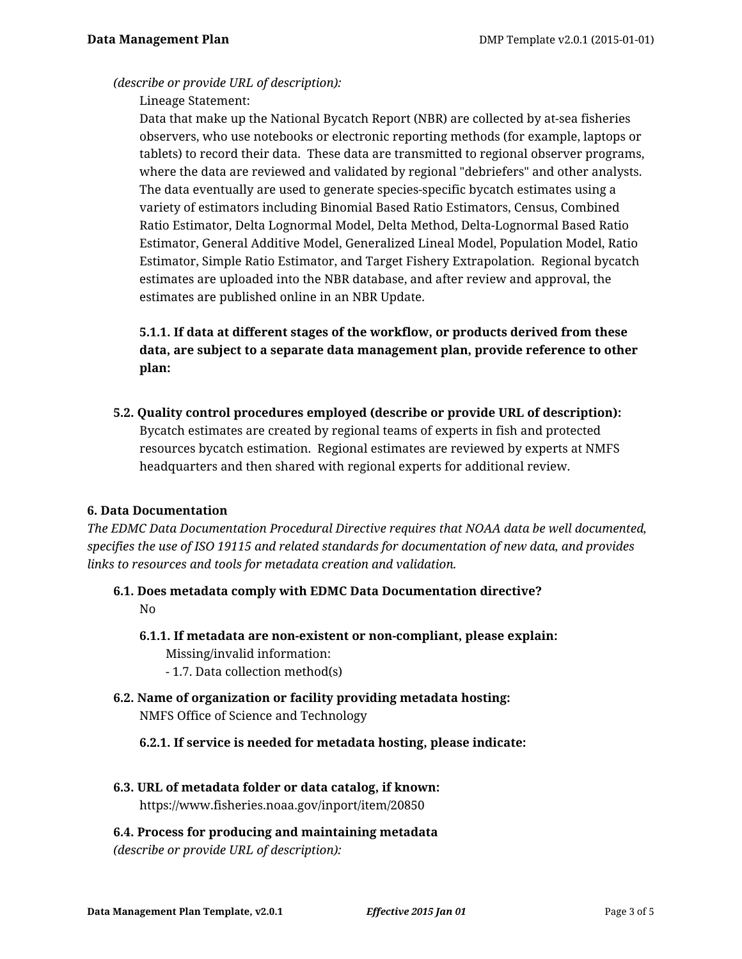#### *(describe or provide URL of description):*

Lineage Statement:

Data that make up the National Bycatch Report (NBR) are collected by at-sea fisheries observers, who use notebooks or electronic reporting methods (for example, laptops or tablets) to record their data. These data are transmitted to regional observer programs, where the data are reviewed and validated by regional "debriefers" and other analysts. The data eventually are used to generate species-specific bycatch estimates using a variety of estimators including Binomial Based Ratio Estimators, Census, Combined Ratio Estimator, Delta Lognormal Model, Delta Method, Delta-Lognormal Based Ratio Estimator, General Additive Model, Generalized Lineal Model, Population Model, Ratio Estimator, Simple Ratio Estimator, and Target Fishery Extrapolation. Regional bycatch estimates are uploaded into the NBR database, and after review and approval, the estimates are published online in an NBR Update.

# **5.1.1. If data at different stages of the workflow, or products derived from these data, are subject to a separate data management plan, provide reference to other plan:**

**5.2. Quality control procedures employed (describe or provide URL of description):** Bycatch estimates are created by regional teams of experts in fish and protected resources bycatch estimation. Regional estimates are reviewed by experts at NMFS headquarters and then shared with regional experts for additional review.

# **6. Data Documentation**

*The EDMC Data Documentation Procedural Directive requires that NOAA data be well documented, specifies the use of ISO 19115 and related standards for documentation of new data, and provides links to resources and tools for metadata creation and validation.*

- **6.1. Does metadata comply with EDMC Data Documentation directive?** No
	- **6.1.1. If metadata are non-existent or non-compliant, please explain:** Missing/invalid information:
		- 1.7. Data collection method(s)
- **6.2. Name of organization or facility providing metadata hosting:** NMFS Office of Science and Technology
	- **6.2.1. If service is needed for metadata hosting, please indicate:**
- **6.3. URL of metadata folder or data catalog, if known:** https://www.fisheries.noaa.gov/inport/item/20850

# **6.4. Process for producing and maintaining metadata**

*(describe or provide URL of description):*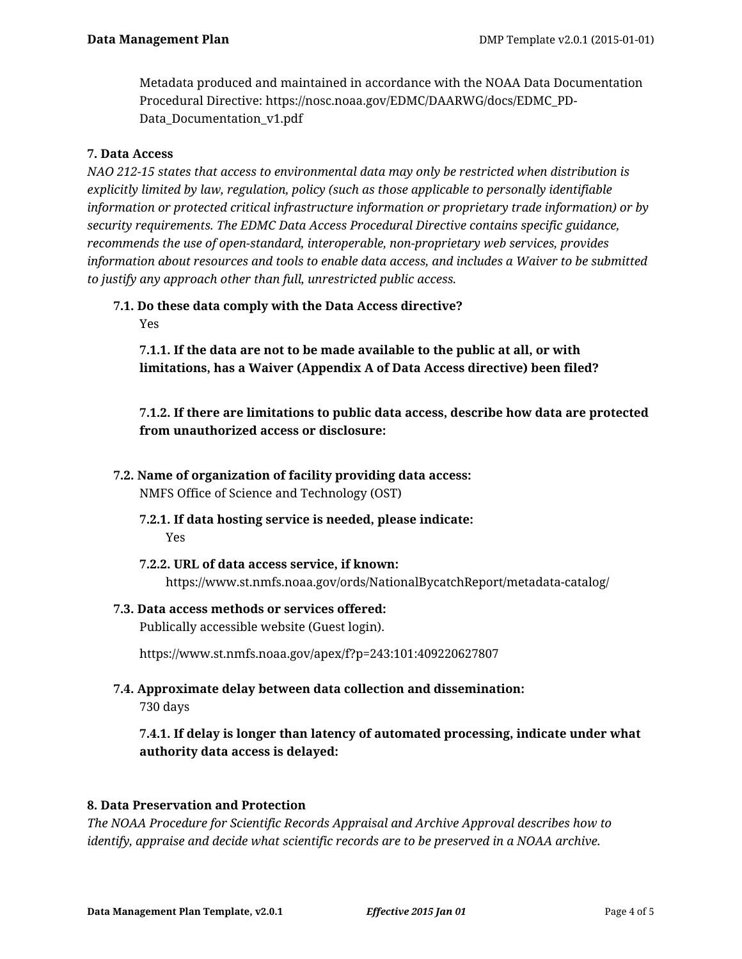Metadata produced and maintained in accordance with the NOAA Data Documentation Procedural Directive: https://nosc.noaa.gov/EDMC/DAARWG/docs/EDMC\_PD-Data\_Documentation\_v1.pdf

#### **7. Data Access**

*NAO 212-15 states that access to environmental data may only be restricted when distribution is explicitly limited by law, regulation, policy (such as those applicable to personally identifiable information or protected critical infrastructure information or proprietary trade information) or by security requirements. The EDMC Data Access Procedural Directive contains specific guidance, recommends the use of open-standard, interoperable, non-proprietary web services, provides information about resources and tools to enable data access, and includes a Waiver to be submitted to justify any approach other than full, unrestricted public access.*

# **7.1. Do these data comply with the Data Access directive?**

Yes

**7.1.1. If the data are not to be made available to the public at all, or with limitations, has a Waiver (Appendix A of Data Access directive) been filed?**

**7.1.2. If there are limitations to public data access, describe how data are protected from unauthorized access or disclosure:**

**7.2. Name of organization of facility providing data access:**

NMFS Office of Science and Technology (OST)

- **7.2.1. If data hosting service is needed, please indicate:** Yes
- **7.2.2. URL of data access service, if known:** https://www.st.nmfs.noaa.gov/ords/NationalBycatchReport/metadata-catalog/
- **7.3. Data access methods or services offered:** Publically accessible website (Guest login).

https://www.st.nmfs.noaa.gov/apex/f?p=243:101:409220627807

**7.4. Approximate delay between data collection and dissemination:** 730 days

**7.4.1. If delay is longer than latency of automated processing, indicate under what authority data access is delayed:**

# **8. Data Preservation and Protection**

*The NOAA Procedure for Scientific Records Appraisal and Archive Approval describes how to identify, appraise and decide what scientific records are to be preserved in a NOAA archive.*